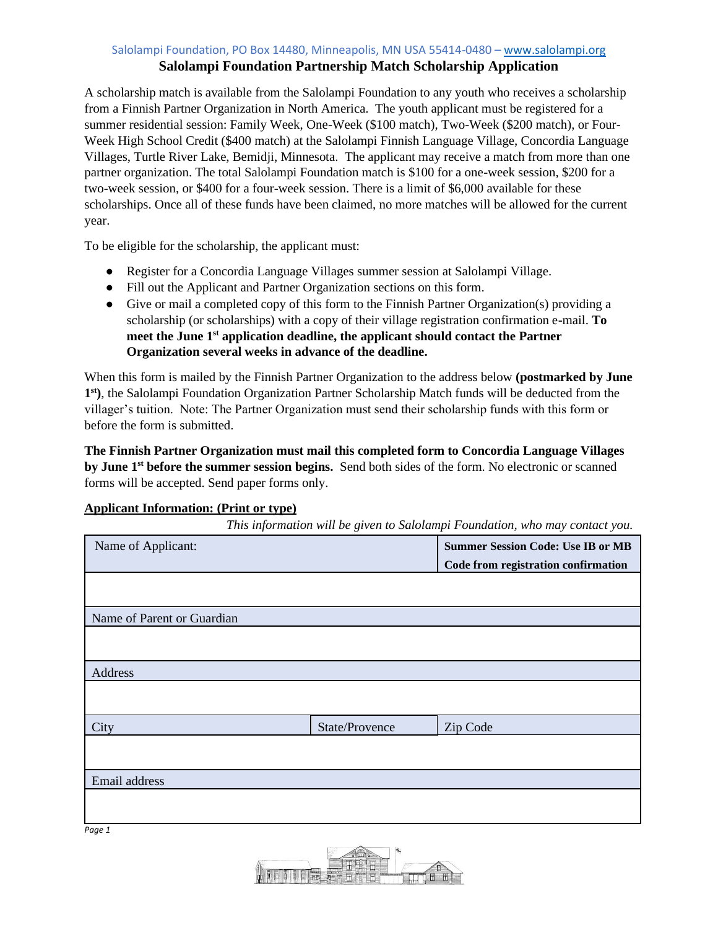## Salolampi Foundation, PO Box 14480, Minneapolis, MN USA 55414-0480 - [www.salolampi.org](http://www.salolampi.org/)

# **Salolampi Foundation Partnership Match Scholarship Application**

A scholarship match is available from the Salolampi Foundation to any youth who receives a scholarship from a Finnish Partner Organization in North America. The youth applicant must be registered for a summer residential session: Family Week, One-Week (\$100 match), Two-Week (\$200 match), or Four-Week High School Credit (\$400 match) at the Salolampi Finnish Language Village, Concordia Language Villages, Turtle River Lake, Bemidji, Minnesota. The applicant may receive a match from more than one partner organization. The total Salolampi Foundation match is \$100 for a one-week session, \$200 for a two-week session, or \$400 for a four-week session. There is a limit of \$6,000 available for these scholarships. Once all of these funds have been claimed, no more matches will be allowed for the current year.

To be eligible for the scholarship, the applicant must:

- Register for a Concordia Language Villages summer session at Salolampi Village.
- Fill out the Applicant and Partner Organization sections on this form.
- Give or mail a completed copy of this form to the Finnish Partner Organization(s) providing a scholarship (or scholarships) with a copy of their village registration confirmation e-mail. **To meet the June 1 st application deadline, the applicant should contact the Partner Organization several weeks in advance of the deadline.**

When this form is mailed by the Finnish Partner Organization to the address below **(postmarked by June 1 st)**, the Salolampi Foundation Organization Partner Scholarship Match funds will be deducted from the villager's tuition. Note: The Partner Organization must send their scholarship funds with this form or before the form is submitted.

**The Finnish Partner Organization must mail this completed form to Concordia Language Villages by June 1st before the summer session begins.** Send both sides of the form. No electronic or scanned forms will be accepted. Send paper forms only.

#### **Applicant Information: (Print or type)**

*This information will be given to Salolampi Foundation, who may contact you.*

| Name of Applicant:         |                | <b>Summer Session Code: Use IB or MB</b><br>Code from registration confirmation |
|----------------------------|----------------|---------------------------------------------------------------------------------|
|                            |                |                                                                                 |
| Name of Parent or Guardian |                |                                                                                 |
|                            |                |                                                                                 |
| Address                    |                |                                                                                 |
|                            |                |                                                                                 |
| City                       | State/Provence | Zip Code                                                                        |
|                            |                |                                                                                 |
| Email address              |                |                                                                                 |
|                            |                |                                                                                 |
| Page 1                     |                |                                                                                 |